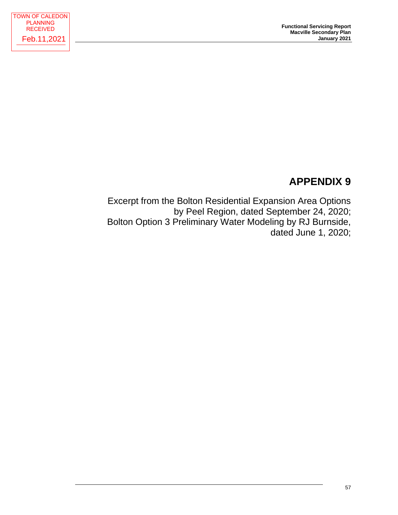# **APPENDIX 9**

Excerpt from the Bolton Residential Expansion Area Options by Peel Region, dated September 24, 2020; Bolton Option 3 Preliminary Water Modeling by RJ Burnside, dated June 1, 2020;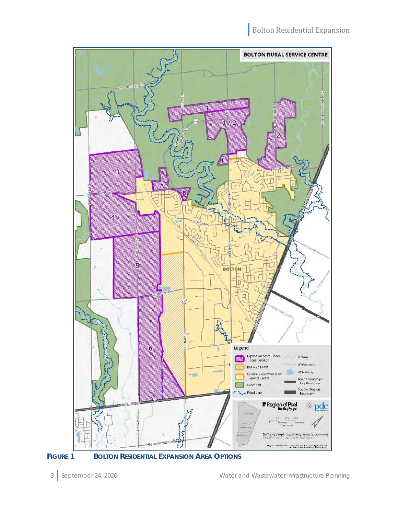

FIGURE 1 BOLTON RESIDENTIAL EXPANSION AREA OPTIONS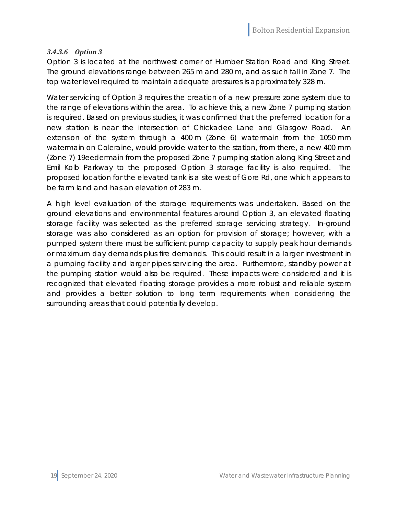### *3.4.3.6 Option 3*

Option 3 is located at the northwest corner of Humber Station Road and King Street. The ground elevations range between 265 m and 280 m, and as such fall in Zone 7. The top water level required to maintain adequate pressures is approximately 328 m.

Water servicing of Option 3 requires the creation of a new pressure zone system due to the range of elevations within the area. To achieve this, a new Zone 7 pumping station is required. Based on previous studies, it was confirmed that the preferred location for a new station is near the intersection of Chickadee Lane and Glasgow Road. An extension of the system through a 400 m (Zone 6) watermain from the 1050 mm watermain on Coleraine, would provide water to the station, from there, a new 400 mm (Zone 7) 19eedermain from the proposed Zone 7 pumping station along King Street and Emil Kolb Parkway to the proposed Option 3 storage facility is also required. The proposed location for the elevated tank is a site west of Gore Rd, one which appears to be farm land and has an elevation of 283 m.

A high level evaluation of the storage requirements was undertaken. Based on the ground elevations and environmental features around Option 3, an elevated floating storage facility was selected as the preferred storage servicing strategy. In-ground storage was also considered as an option for provision of storage; however, with a pumped system there must be sufficient pump capacity to supply peak hour demands or maximum day demands plus fire demands. This could result in a larger investment in a pumping facility and larger pipes servicing the area. Furthermore, standby power at the pumping station would also be required. These impacts were considered and it is recognized that elevated floating storage provides a more robust and reliable system and provides a better solution to long term requirements when considering the surrounding areas that could potentially develop.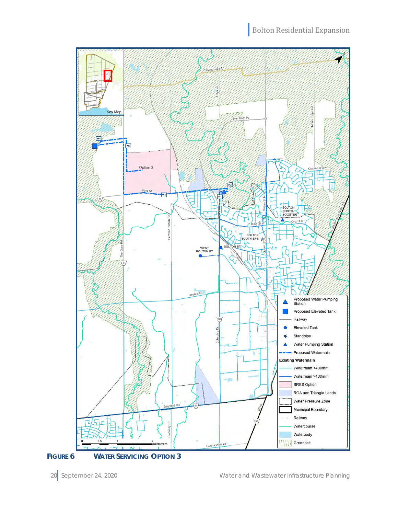